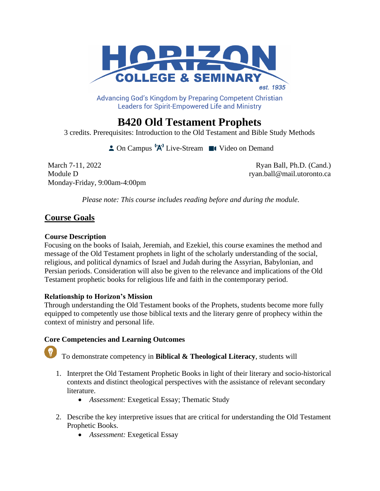

Advancing God's Kingdom by Preparing Competent Christian **Leaders for Spirit-Empowered Life and Ministry** 

# **B420 Old Testament Prophets**

3 credits. Prerequisites: Introduction to the Old Testament and Bible Study Methods

 $\triangle$  On Campus  $^1A^1$  Live-Stream  $\blacksquare$  Video on Demand

March 7-11, 2022 **Ryan Ball, Ph.D. (Cand.)** Module D ryan.ball@mail.utoronto.ca Monday-Friday, 9:00am-4:00pm

*Please note: This course includes reading before and during the module.*

# **Course Goals**

# **Course Description**

Focusing on the books of Isaiah, Jeremiah, and Ezekiel, this course examines the method and message of the Old Testament prophets in light of the scholarly understanding of the social, religious, and political dynamics of Israel and Judah during the Assyrian, Babylonian, and Persian periods. Consideration will also be given to the relevance and implications of the Old Testament prophetic books for religious life and faith in the contemporary period.

# **Relationship to Horizon's Mission**

Through understanding the Old Testament books of the Prophets, students become more fully equipped to competently use those biblical texts and the literary genre of prophecy within the context of ministry and personal life.

# **Core Competencies and Learning Outcomes**

To demonstrate competency in **Biblical & Theological Literacy**, students will

- 1. Interpret the Old Testament Prophetic Books in light of their literary and socio-historical contexts and distinct theological perspectives with the assistance of relevant secondary literature.
	- *Assessment:* Exegetical Essay; Thematic Study
- 2. Describe the key interpretive issues that are critical for understanding the Old Testament Prophetic Books.
	- *Assessment:* Exegetical Essay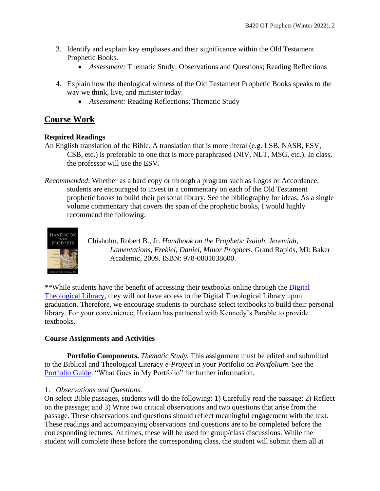- 3. Identify and explain key emphases and their significance within the Old Testament Prophetic Books.
	- *Assessment:* Thematic Study; Observations and Questions; Reading Reflections
- 4. Explain how the theological witness of the Old Testament Prophetic Books speaks to the way we think, live, and minister today.
	- *Assessment:* Reading Reflections; Thematic Study

# **Course Work**

# **Required Readings**

- An English translation of the Bible. A translation that is more literal (e.g. LSB, NASB, ESV, CSB, etc.) is preferable to one that is more paraphrased (NIV, NLT, MSG, etc.). In class, the professor will use the ESV.
- *Recommended*: Whether as a hard copy or through a program such as Logos or Accordance, students are encouraged to invest in a commentary on each of the Old Testament prophetic books to build their personal library. See the bibliography for ideas. As a single volume commentary that covers the span of the prophetic books, I would highly recommend the following:



Chisholm, Robert B., Jr. *Handbook on the Prophets: Isaiah, Jeremiah, Lamentations, Ezekiel, Daniel, Minor Prophets*. Grand Rapids, MI: Baker Academic, 2009. ISBN: 978-0801038600.

\*\*While students have the benefit of accessing their textbooks online through the [Digital](https://libguides.thedtl.org/home)  [Theological Library,](https://libguides.thedtl.org/home) they will not have access to the Digital Theological Library upon graduation. Therefore, we encourage students to purchase select textbooks to build their personal library. For your convenience, Horizon has partnered with Kennedy's Parable to provide textbooks.

# **Course Assignments and Activities**

**Portfolio Components.** *Thematic Study.* This assignment must be edited and submitted to the Biblical and Theological Literacy *e-Project* in your Portfolio on *Portfolium*. See the [Portfolio Guide:](https://www.horizon.edu/wp-content/uploads/2019/09/Portfolio-Guide-September-2019.pdf) "What Goes in My Portfolio" for further information.

# 1. *Observations and Questions*.

On select Bible passages, students will do the following: 1) Carefully read the passage; 2) Reflect on the passage; and 3) Write two critical observations and two questions that arise from the passage. These observations and questions should reflect meaningful engagement with the text. These readings and accompanying observations and questions are to be completed before the corresponding lectures. At times, these will be used for group/class discussions. While the student will complete these before the corresponding class, the student will submit them all at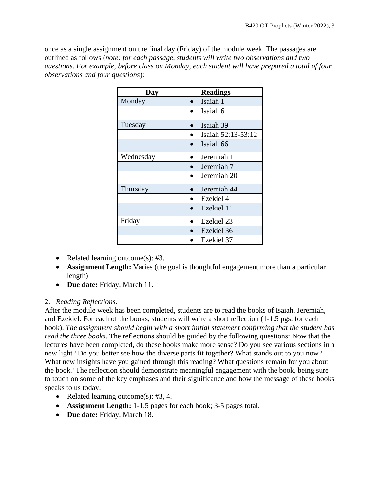once as a single assignment on the final day (Friday) of the module week. The passages are outlined as follows (*note: for each passage, students will write two observations and two questions. For example, before class on Monday, each student will have prepared a total of four observations and four questions*):

| Day       | <b>Readings</b>    |
|-----------|--------------------|
| Monday    | Isaiah 1           |
|           | Isaiah 6           |
| Tuesday   | Isaiah 39          |
|           | Isaiah 52:13-53:12 |
|           | Isaiah 66          |
| Wednesday | Jeremiah 1         |
|           | Jeremiah 7         |
|           | Jeremiah 20        |
| Thursday  | Jeremiah 44        |
|           | Ezekiel 4          |
|           | Ezekiel 11         |
| Friday    | Ezekiel 23         |
|           | Ezekiel 36         |
|           | Ezekiel 37         |

- Related learning outcome(s): #3.
- **Assignment Length:** Varies (the goal is thoughtful engagement more than a particular length)
- **Due date:** Friday, March 11.

# 2. *Reading Reflections*.

After the module week has been completed, students are to read the books of Isaiah, Jeremiah, and Ezekiel. For each of the books, students will write a short reflection (1-1.5 pgs. for each book). *The assignment should begin with a short initial statement confirming that the student has read the three books*. The reflections should be guided by the following questions: Now that the lectures have been completed, do these books make more sense? Do you see various sections in a new light? Do you better see how the diverse parts fit together? What stands out to you now? What new insights have you gained through this reading? What questions remain for you about the book? The reflection should demonstrate meaningful engagement with the book, being sure to touch on some of the key emphases and their significance and how the message of these books speaks to us today.

- Related learning outcome(s): #3, 4.
- **Assignment Length:** 1-1.5 pages for each book; 3-5 pages total.
- **Due date:** Friday, March 18.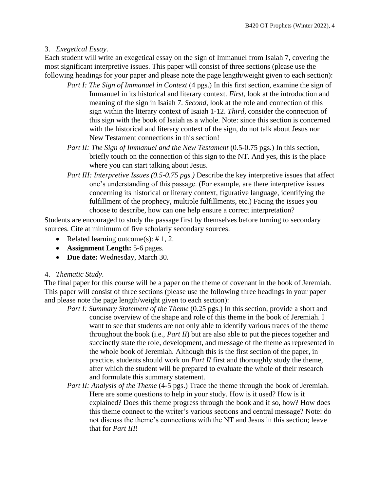#### 3. *Exegetical Essay*.

Each student will write an exegetical essay on the sign of Immanuel from Isaiah 7, covering the most significant interpretive issues. This paper will consist of three sections (please use the following headings for your paper and please note the page length/weight given to each section):

- *Part I: The Sign of Immanuel in Context* (4 pgs.) In this first section, examine the sign of Immanuel in its historical and literary context. *First*, look at the introduction and meaning of the sign in Isaiah 7. *Second*, look at the role and connection of this sign within the literary context of Isaiah 1-12. *Third*, consider the connection of this sign with the book of Isaiah as a whole. Note: since this section is concerned with the historical and literary context of the sign, do not talk about Jesus nor New Testament connections in this section!
- *Part II: The Sign of Immanuel and the New Testament* (0.5-0.75 pgs.) In this section, briefly touch on the connection of this sign to the NT. And yes, this is the place where you can start talking about Jesus.
- *Part III: Interpretive Issues (0.5-0.75 pgs.)* Describe the key interpretive issues that affect one's understanding of this passage. (For example, are there interpretive issues concerning its historical or literary context, figurative language, identifying the fulfillment of the prophecy, multiple fulfillments, etc.) Facing the issues you choose to describe, how can one help ensure a correct interpretation?

Students are encouraged to study the passage first by themselves before turning to secondary sources. Cite at minimum of five scholarly secondary sources.

- Related learning outcome(s):  $\# 1, 2$ .
- **Assignment Length:** 5-6 pages.
- **Due date:** Wednesday, March 30.

#### 4. *Thematic Study*.

The final paper for this course will be a paper on the theme of covenant in the book of Jeremiah. This paper will consist of three sections (please use the following three headings in your paper and please note the page length/weight given to each section):

- *Part I: Summary Statement of the Theme* (0.25 pgs.) In this section, provide a short and concise overview of the shape and role of this theme in the book of Jeremiah. I want to see that students are not only able to identify various traces of the theme throughout the book (i.e., *Part II*) but are also able to put the pieces together and succinctly state the role, development, and message of the theme as represented in the whole book of Jeremiah. Although this is the first section of the paper, in practice, students should work on *Part II* first and thoroughly study the theme, after which the student will be prepared to evaluate the whole of their research and formulate this summary statement.
- *Part II: Analysis of the Theme* (4-5 pgs.) Trace the theme through the book of Jeremiah. Here are some questions to help in your study. How is it used? How is it explained? Does this theme progress through the book and if so, how? How does this theme connect to the writer's various sections and central message? Note: do not discuss the theme's connections with the NT and Jesus in this section; leave that for *Part III*!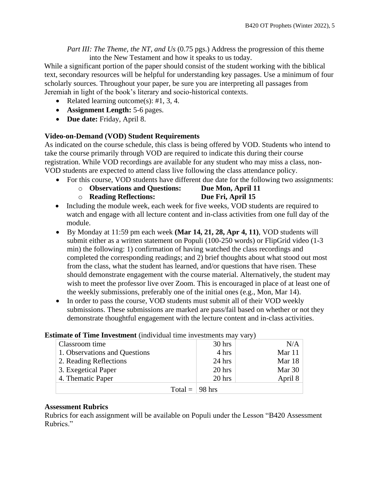*Part III: The Theme, the NT, and Us* (0.75 pgs.) Address the progression of this theme into the New Testament and how it speaks to us today.

While a significant portion of the paper should consist of the student working with the biblical text, secondary resources will be helpful for understanding key passages. Use a minimum of four scholarly sources. Throughout your paper, be sure you are interpreting all passages from Jeremiah in light of the book's literary and socio-historical contexts.

- Related learning outcome(s): #1, 3, 4.
- **Assignment Length:** 5-6 pages.
- **Due date:** Friday, April 8.

# **Video-on-Demand (VOD) Student Requirements**

As indicated on the course schedule, this class is being offered by VOD. Students who intend to take the course primarily through VOD are required to indicate this during their course registration. While VOD recordings are available for any student who may miss a class, non-VOD students are expected to attend class live following the class attendance policy.

- For this course, VOD students have different due date for the following two assignments:
	- o **Observations and Questions: Due Mon, April 11**
	- o **Reading Reflections: Due Fri, April 15**
- 
- Including the module week, each week for five weeks, VOD students are required to watch and engage with all lecture content and in-class activities from one full day of the module.
- By Monday at 11:59 pm each week **(Mar 14, 21, 28, Apr 4, 11)**, VOD students will submit either as a written statement on Populi (100-250 words) or FlipGrid video (1-3 min) the following: 1) confirmation of having watched the class recordings and completed the corresponding readings; and 2) brief thoughts about what stood out most from the class, what the student has learned, and/or questions that have risen. These should demonstrate engagement with the course material. Alternatively, the student may wish to meet the professor live over Zoom. This is encouraged in place of at least one of the weekly submissions, preferably one of the initial ones (e.g., Mon, Mar 14).
- In order to pass the course, VOD students must submit all of their VOD weekly submissions. These submissions are marked are pass/fail based on whether or not they demonstrate thoughtful engagement with the lecture content and in-class activities.

| $\frac{1}{1000}$ of Thing Investment (fight figure this investments fight vary) |          |         |  |  |
|---------------------------------------------------------------------------------|----------|---------|--|--|
| Classroom time                                                                  | 30 hrs   | N/A     |  |  |
| 1. Observations and Questions                                                   | 4 hrs    | Mar 11  |  |  |
| 2. Reading Reflections                                                          | $24$ hrs | Mar 18  |  |  |
| 3. Exegetical Paper                                                             | $20$ hrs | Mar 30  |  |  |
| 4. Thematic Paper                                                               | $20$ hrs | April 8 |  |  |
| Total = $\vert$ 98 hrs                                                          |          |         |  |  |

# **Estimate of Time Investment** (individual time investments may vary)

# **Assessment Rubrics**

Rubrics for each assignment will be available on Populi under the Lesson "B420 Assessment Rubrics."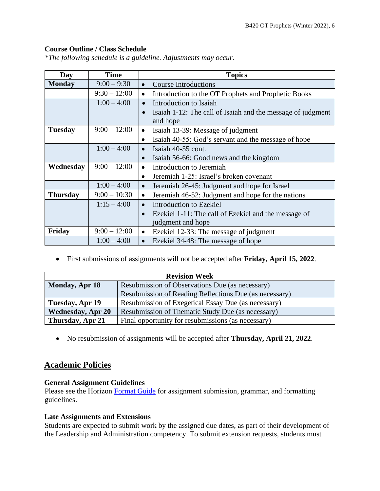# **Course Outline / Class Schedule**

*\*The following schedule is a guideline. Adjustments may occur.*

| Day             | <b>Time</b>    | <b>Topics</b>                                                            |  |  |  |
|-----------------|----------------|--------------------------------------------------------------------------|--|--|--|
| <b>Monday</b>   | $9:00 - 9:30$  | <b>Course Introductions</b><br>$\bullet$                                 |  |  |  |
|                 | $9:30 - 12:00$ | Introduction to the OT Prophets and Prophetic Books                      |  |  |  |
|                 | $1:00 - 4:00$  | Introduction to Isaiah                                                   |  |  |  |
|                 |                | Isaiah 1-12: The call of Isaiah and the message of judgment<br>$\bullet$ |  |  |  |
|                 |                | and hope                                                                 |  |  |  |
| <b>Tuesday</b>  | $9:00 - 12:00$ | Isaiah 13-39: Message of judgment<br>$\bullet$                           |  |  |  |
|                 |                | Isaiah 40-55: God's servant and the message of hope                      |  |  |  |
|                 | $1:00 - 4:00$  | Isaiah 40-55 cont.<br>$\bullet$                                          |  |  |  |
|                 |                | Isaiah 56-66: Good news and the kingdom<br>$\bullet$                     |  |  |  |
| Wednesday       | $9:00 - 12:00$ | Introduction to Jeremiah<br>$\bullet$                                    |  |  |  |
|                 |                | Jeremiah 1-25: Israel's broken covenant<br>$\bullet$                     |  |  |  |
|                 | $1:00 - 4:00$  | Jeremiah 26-45: Judgment and hope for Israel<br>$\bullet$                |  |  |  |
| <b>Thursday</b> | $9:00 - 10:30$ | Jeremiah 46-52: Judgment and hope for the nations<br>$\bullet$           |  |  |  |
|                 | $1:15 - 4:00$  | Introduction to Ezekiel<br>$\bullet$                                     |  |  |  |
|                 |                | Ezekiel 1-11: The call of Ezekiel and the message of<br>$\bullet$        |  |  |  |
|                 |                | judgment and hope                                                        |  |  |  |
| Friday          | $9:00 - 12:00$ | Ezekiel 12-33: The message of judgment<br>$\bullet$                      |  |  |  |
|                 | $1:00 - 4:00$  | Ezekiel 34-48: The message of hope<br>$\bullet$                          |  |  |  |

• First submissions of assignments will not be accepted after **Friday, April 15, 2022**.

| <b>Revision Week</b>                                                     |                                                        |  |  |
|--------------------------------------------------------------------------|--------------------------------------------------------|--|--|
| <b>Monday, Apr 18</b><br>Resubmission of Observations Due (as necessary) |                                                        |  |  |
|                                                                          | Resubmission of Reading Reflections Due (as necessary) |  |  |
| Tuesday, Apr 19                                                          | Resubmission of Exegetical Essay Due (as necessary)    |  |  |
| <b>Wednesday, Apr 20</b>                                                 | Resubmission of Thematic Study Due (as necessary)      |  |  |
| Thursday, Apr 21                                                         | Final opportunity for resubmissions (as necessary)     |  |  |

• No resubmission of assignments will be accepted after **Thursday, April 21, 2022**.

# **Academic Policies**

#### **General Assignment Guidelines**

Please see the Horizon [Format Guide](https://www.horizon.edu/students/resources/) for assignment submission, grammar, and formatting guidelines.

#### **Late Assignments and Extensions**

Students are expected to submit work by the assigned due dates, as part of their development of the Leadership and Administration competency. To submit extension requests, students must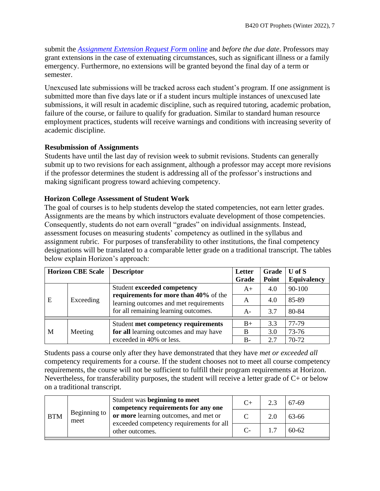submit the *[Assignment Extension Request Form](https://horizon.edu/forms/student/)* online and *before the due date*. Professors may grant extensions in the case of extenuating circumstances, such as significant illness or a family emergency. Furthermore, no extensions will be granted beyond the final day of a term or semester.

Unexcused late submissions will be tracked across each student's program. If one assignment is submitted more than five days late or if a student incurs multiple instances of unexcused late submissions, it will result in academic discipline, such as required tutoring, academic probation, failure of the course, or failure to qualify for graduation. Similar to standard human resource employment practices, students will receive warnings and conditions with increasing severity of academic discipline.

# **Resubmission of Assignments**

Students have until the last day of revision week to submit revisions. Students can generally submit up to two revisions for each assignment, although a professor may accept more revisions if the professor determines the student is addressing all of the professor's instructions and making significant progress toward achieving competency.

# **Horizon College Assessment of Student Work**

The goal of courses is to help students develop the stated competencies, not earn letter grades. Assignments are the means by which instructors evaluate development of those competencies. Consequently, students do not earn overall "grades" on individual assignments. Instead, assessment focuses on measuring students' competency as outlined in the syllabus and assignment rubric. For purposes of transferability to other institutions, the final competency designations will be translated to a comparable letter grade on a traditional transcript. The tables below explain Horizon's approach:

| <b>Horizon CBE Scale</b> |           | <b>Descriptor</b>                                                                                                       | Letter<br>Grade | Grade<br>Point | $U$ of $S$<br><b>Equivalency</b> |
|--------------------------|-----------|-------------------------------------------------------------------------------------------------------------------------|-----------------|----------------|----------------------------------|
| E                        | Exceeding | Student exceeded competency                                                                                             | $A+$            | 4.0            | 90-100                           |
|                          |           | requirements for more than 40% of the<br>learning outcomes and met requirements<br>for all remaining learning outcomes. | A               | 4.0            | 85-89                            |
|                          |           |                                                                                                                         | A-              | 3.7            | 80-84                            |
| M                        | Meeting   | Student met competency requirements                                                                                     | $B+$            | 3.3            | 77-79                            |
|                          |           | for all learning outcomes and may have                                                                                  | B               | 3.0            | 73-76                            |
|                          |           | exceeded in 40% or less.                                                                                                | B-              | 2.7            | 70-72                            |

Students pass a course only after they have demonstrated that they have *met or exceeded all*  competency requirements for a course. If the student chooses not to meet all course competency requirements, the course will not be sufficient to fulfill their program requirements at Horizon. Nevertheless, for transferability purposes, the student will receive a letter grade of C+ or below on a traditional transcript.

| <b>BTM</b> | Beginning to<br>meet | Student was beginning to meet<br>competency requirements for any one | 2.3 | 67-69     |
|------------|----------------------|----------------------------------------------------------------------|-----|-----------|
|            |                      | or more learning outcomes, and met or                                | 2.0 | 63-66     |
|            |                      | exceeded competency requirements for all<br>other outcomes.          |     | $60 - 62$ |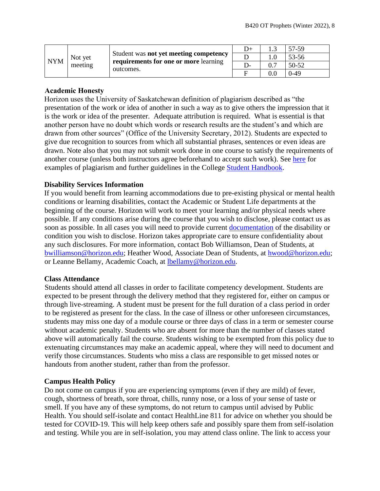| <b>NYM</b> | Student was not yet meeting competency<br>Not yet<br>meeting<br>outcomes. |                                       | D+ |         | 57-59  |
|------------|---------------------------------------------------------------------------|---------------------------------------|----|---------|--------|
|            |                                                                           | requirements for one or more learning |    |         | 53-56  |
|            |                                                                           |                                       |    |         | 50-52  |
|            |                                                                           |                                       |    | $0.0\,$ | $0-49$ |

# **Academic Honesty**

Horizon uses the University of Saskatchewan definition of plagiarism described as "the presentation of the work or idea of another in such a way as to give others the impression that it is the work or idea of the presenter. Adequate attribution is required. What is essential is that another person have no doubt which words or research results are the student's and which are drawn from other sources" (Office of the University Secretary, 2012). Students are expected to give due recognition to sources from which all substantial phrases, sentences or even ideas are drawn. Note also that you may not submit work done in one course to satisfy the requirements of another course (unless both instructors agree beforehand to accept such work). See [here](http://www.turnitin.com/assets/en_us/media/plagiarism_spectrum.php) for examples of plagiarism and further guidelines in the College [Student Handbook.](https://www.horizon.edu/students/resources/)

### **Disability Services Information**

If you would benefit from learning accommodations due to pre-existing physical or mental health conditions or learning disabilities, contact the Academic or Student Life departments at the beginning of the course. Horizon will work to meet your learning and/or physical needs where possible. If any conditions arise during the course that you wish to disclose, please contact us as soon as possible. In all cases you will need to provide current [documentation](https://www.horizon.edu/students/support/) of the disability or condition you wish to disclose. Horizon takes appropriate care to ensure confidentiality about any such disclosures. For more information, contact Bob Williamson, Dean of Students, at [bwilliamson@horizon.edu;](mailto:bwilliamson@horizon.edu) Heather Wood, Associate Dean of Students, at [hwood@horizon.edu;](mailto:hwood@horizon.edu) or Leanne Bellamy, Academic Coach, at [lbellamy@horizon.edu.](mailto:lbellamy@horizon.edu)

#### **Class Attendance**

Students should attend all classes in order to facilitate competency development. Students are expected to be present through the delivery method that they registered for, either on campus or through live-streaming. A student must be present for the full duration of a class period in order to be registered as present for the class. In the case of illness or other unforeseen circumstances, students may miss one day of a module course or three days of class in a term or semester course without academic penalty. Students who are absent for more than the number of classes stated above will automatically fail the course. Students wishing to be exempted from this policy due to extenuating circumstances may make an academic appeal, where they will need to document and verify those circumstances. Students who miss a class are responsible to get missed notes or handouts from another student, rather than from the professor.

# **Campus Health Policy**

Do not come on campus if you are experiencing symptoms (even if they are mild) of fever, cough, shortness of breath, sore throat, chills, runny nose, or a loss of your sense of taste or smell. If you have any of these symptoms, do not return to campus until advised by Public Health. You should self-isolate and contact HealthLine 811 for advice on whether you should be tested for COVID-19. This will help keep others safe and possibly spare them from self-isolation and testing. While you are in self-isolation, you may attend class online. The link to access your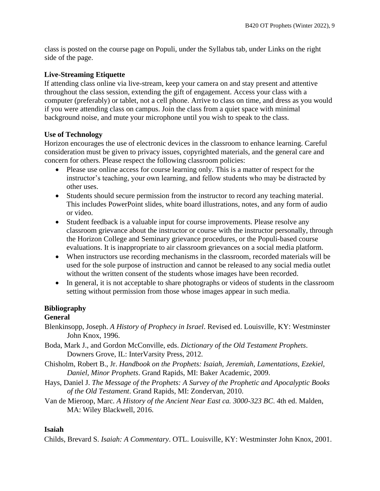class is posted on the course page on Populi, under the Syllabus tab, under Links on the right side of the page.

# **Live-Streaming Etiquette**

If attending class online via live-stream, keep your camera on and stay present and attentive throughout the class session, extending the gift of engagement. Access your class with a computer (preferably) or tablet, not a cell phone. Arrive to class on time, and dress as you would if you were attending class on campus. Join the class from a quiet space with minimal background noise, and mute your microphone until you wish to speak to the class.

### **Use of Technology**

Horizon encourages the use of electronic devices in the classroom to enhance learning. Careful consideration must be given to privacy issues, copyrighted materials, and the general care and concern for others. Please respect the following classroom policies:

- Please use online access for course learning only. This is a matter of respect for the instructor's teaching, your own learning, and fellow students who may be distracted by other uses.
- Students should secure permission from the instructor to record any teaching material. This includes PowerPoint slides, white board illustrations, notes, and any form of audio or video.
- Student feedback is a valuable input for course improvements. Please resolve any classroom grievance about the instructor or course with the instructor personally, through the Horizon College and Seminary grievance procedures, or the Populi-based course evaluations. It is inappropriate to air classroom grievances on a social media platform.
- When instructors use recording mechanisms in the classroom, recorded materials will be used for the sole purpose of instruction and cannot be released to any social media outlet without the written consent of the students whose images have been recorded.
- In general, it is not acceptable to share photographs or videos of students in the classroom setting without permission from those whose images appear in such media.

# **Bibliography**

# **General**

- Blenkinsopp, Joseph. *A History of Prophecy in Israel*. Revised ed. Louisville, KY: Westminster John Knox, 1996.
- Boda, Mark J., and Gordon McConville, eds. *Dictionary of the Old Testament Prophets*. Downers Grove, IL: InterVarsity Press, 2012.
- Chisholm, Robert B., Jr. *Handbook on the Prophets: Isaiah, Jeremiah, Lamentations, Ezekiel, Daniel, Minor Prophets*. Grand Rapids, MI: Baker Academic, 2009.
- Hays, Daniel J. *The Message of the Prophets: A Survey of the Prophetic and Apocalyptic Books of the Old Testament*. Grand Rapids, MI: Zondervan, 2010.
- Van de Mieroop, Marc. *A History of the Ancient Near East ca. 3000-323 BC*. 4th ed. Malden, MA: Wiley Blackwell, 2016.

# **Isaiah**

Childs, Brevard S. *Isaiah: A Commentary*. OTL. Louisville, KY: Westminster John Knox, 2001.